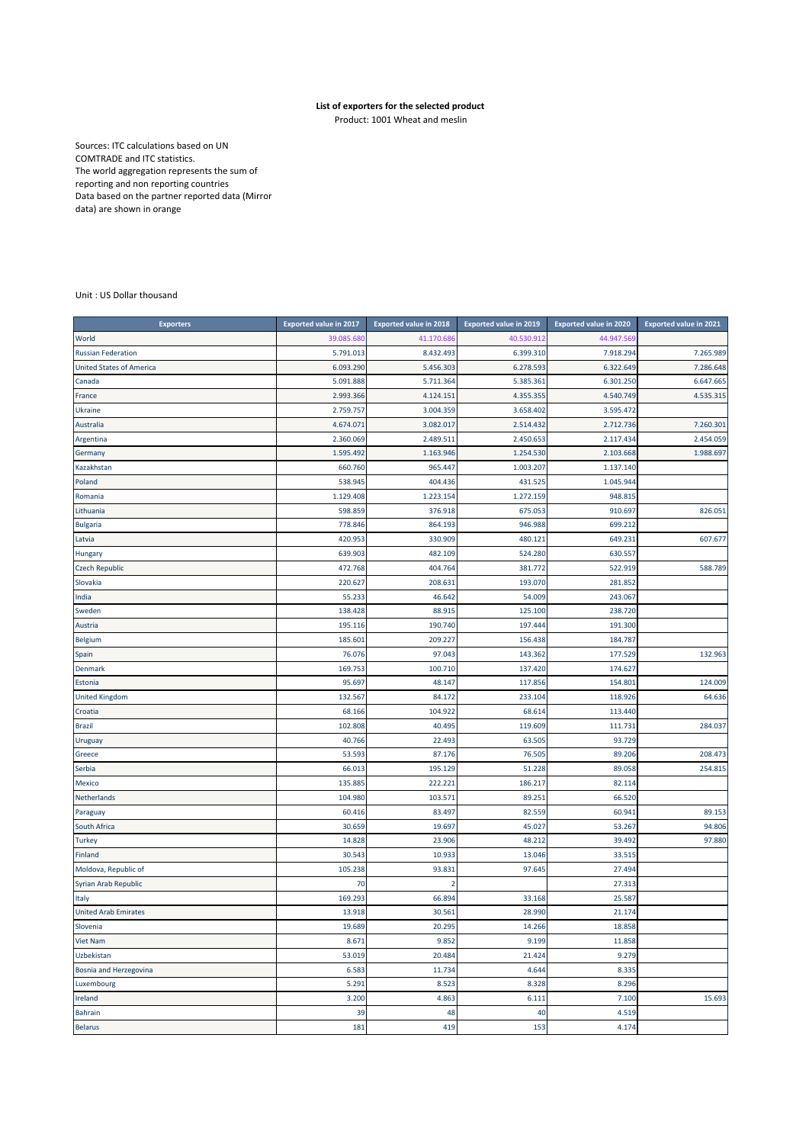## **List of exporters for the selected product**

Product: 1001 Wheat and meslin

Sources: ITC calculations based on UN COMTRADE and ITC statistics. The world aggregation represents the sum of reporting and non reporting countries Data based on the partner reported data (Mirror data) are shown in orange

## Unit : US Dollar thousand

| <b>Exporters</b>                | <b>Exported value in 2017</b> | <b>Exported value in 2018</b> | <b>Exported value in 2019</b> | <b>Exported value in 2020</b> | <b>Exported value in 2021</b> |
|---------------------------------|-------------------------------|-------------------------------|-------------------------------|-------------------------------|-------------------------------|
| World                           | 39.085.680                    | 41.170.68                     | 40.530.912                    | 44.947.569                    |                               |
| <b>Russian Federation</b>       | 5.791.013                     | 8.432.493                     | 6.399.310                     | 7.918.294                     | 7.265.989                     |
| <b>United States of America</b> | 6.093.290                     | 5.456.303                     | 6.278.593                     | 6.322.649                     | 7.286.648                     |
| Canada                          | 5.091.888                     | 5.711.364                     | 5.385.361                     | 6.301.250                     | 6.647.665                     |
| France                          | 2.993.366                     | 4.124.151                     | 4.355.355                     | 4.540.749                     | 4.535.315                     |
| Ukraine                         | 2.759.757                     | 3.004.359                     | 3.658.402                     | 3.595.472                     |                               |
| Australia                       | 4.674.071                     | 3.082.017                     | 2.514.432                     | 2.712.736                     | 7.260.301                     |
| Argentina                       | 2.360.069                     | 2.489.511                     | 2.450.653                     | 2.117.434                     | 2.454.059                     |
| Germany                         | 1.595.492                     | 1.163.946                     | 1.254.530                     | 2.103.668                     | 1.988.697                     |
| Kazakhstan                      | 660.760                       | 965.447                       | 1.003.207                     | 1.137.140                     |                               |
| Poland                          | 538.945                       | 404.436                       | 431.525                       | 1.045.944                     |                               |
| Romania                         | 1.129.408                     | 1.223.154                     | 1.272.159                     | 948.815                       |                               |
| Lithuania                       | 598.859                       | 376.918                       | 675.053                       | 910.697                       | 826.051                       |
| <b>Bulgaria</b>                 | 778.846                       | 864.193                       | 946.988                       | 699.212                       |                               |
| Latvia                          | 420.953                       | 330.909                       | 480.121                       | 649.231                       | 607.677                       |
| Hungary                         | 639.903                       | 482.109                       | 524.280                       | 630.557                       |                               |
| <b>Czech Republic</b>           | 472.768                       | 404.764                       | 381.772                       | 522.919                       | 588.789                       |
| Slovakia                        | 220.627                       | 208.631                       | 193.070                       | 281.852                       |                               |
| India                           | 55.233                        | 46.642                        | 54.009                        | 243.067                       |                               |
| Sweden                          | 138.428                       | 88.915                        | 125.100                       | 238.720                       |                               |
| Austria                         | 195.116                       | 190.740                       | 197.444                       | 191.300                       |                               |
| <b>Belgium</b>                  | 185.601                       | 209.227                       | 156.438                       | 184.787                       |                               |
| Spain                           | 76.076                        | 97.043                        | 143.362                       | 177.529                       | 132.963                       |
| Denmark                         | 169.753                       | 100.710                       | 137.420                       | 174.627                       |                               |
| Estonia                         | 95.697                        | 48.147                        | 117.856                       | 154.801                       | 124.009                       |
| <b>United Kingdom</b>           | 132.567                       | 84.172                        | 233.104                       | 118.926                       | 64.636                        |
| Croatia                         | 68.166                        | 104.922                       | 68.614                        | 113.440                       |                               |
| <b>Brazil</b>                   | 102.808                       | 40.495                        | 119.609                       | 111.731                       | 284.037                       |
| Uruguay                         | 40.766                        | 22.493                        | 63.505                        | 93.729                        |                               |
| Greece                          | 53.593                        | 87.176                        | 76.505                        | 89.206                        | 208.473                       |
| Serbia                          | 66.013                        | 195.129                       | 51.228                        | 89.058                        | 254.815                       |
| <b>Mexico</b>                   | 135.885                       | 222.221                       | 186.217                       | 82.114                        |                               |
| Netherlands                     | 104.980                       | 103.571                       | 89.251                        | 66.520                        |                               |
| Paraguay                        | 60.416                        | 83.497                        | 82.559                        | 60.941                        | 89.153                        |
| South Africa                    | 30.659                        | 19.697                        | 45.027                        | 53.267                        | 94.806                        |
| <b>Turkey</b>                   | 14.828                        | 23.906                        | 48.212                        | 39.492                        | 97.880                        |
| Finland                         | 30.543                        | 10.933                        | 13.046                        | 33.515                        |                               |
| Moldova, Republic of            | 105.238                       | 93.831                        | 97.645                        | 27.494                        |                               |
| Syrian Arab Republic            | 70                            | 2                             |                               | 27.313                        |                               |
| Italy                           | 169.293                       | 66.894                        | 33.168                        | 25.587                        |                               |
| <b>United Arab Emirates</b>     | 13.918                        | 30.561                        | 28.990                        | 21.174                        |                               |
| Slovenia                        | 19.689                        | 20.295                        | 14.266                        | 18.858                        |                               |
| Viet Nam                        | 8.671                         | 9.852                         | 9.199                         | 11.858                        |                               |
| Uzbekistan                      | 53.019                        | 20.484                        | 21.424                        | 9.279                         |                               |
| Bosnia and Herzegovina          | 6.583                         | 11.734                        | 4.644                         | 8.335                         |                               |
| Luxembourg                      | 5.291                         | 8.523                         | 8.328                         | 8.296                         |                               |
| Ireland                         | 3.200                         | 4.863                         | 6.111                         | 7.100                         | 15.693                        |
| <b>Bahrain</b>                  | 39                            | 48                            | 40                            | 4.519                         |                               |
| <b>Belarus</b>                  | 181                           | 419                           | 153                           | 4.174                         |                               |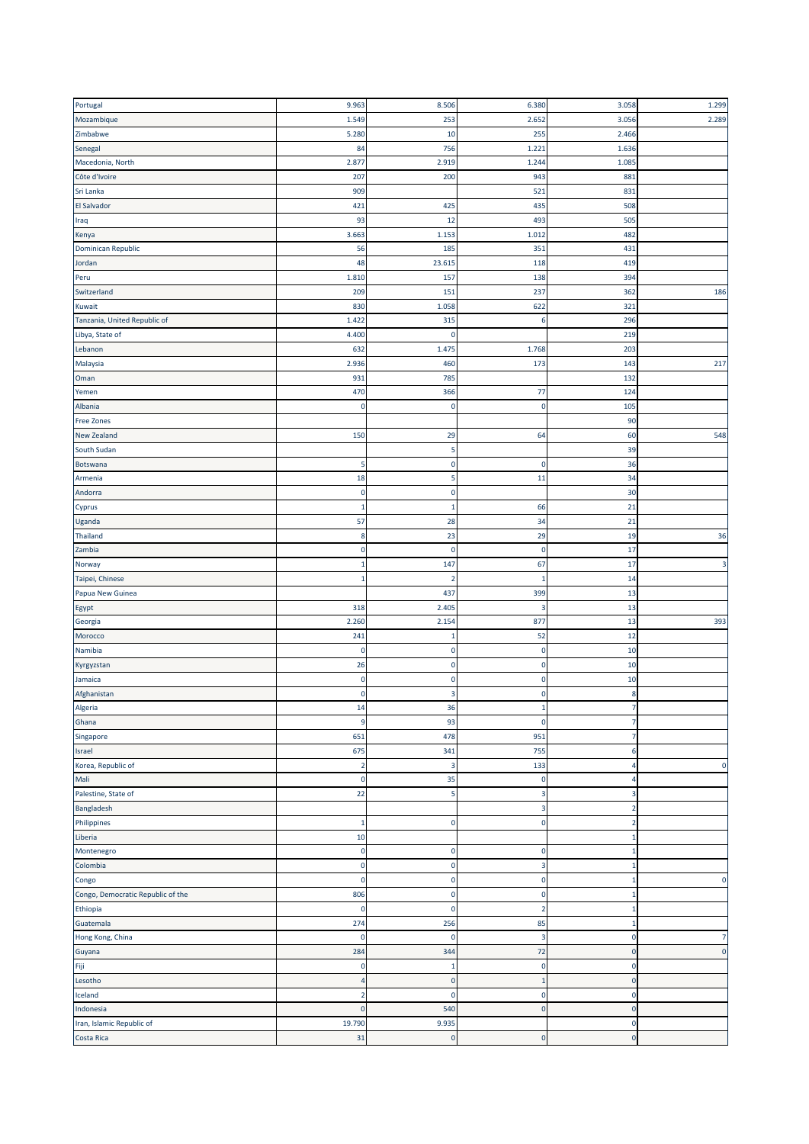| Portugal                                | 9.963                   | 8.506                   | 6.380        | 3.058                      | 1.299       |
|-----------------------------------------|-------------------------|-------------------------|--------------|----------------------------|-------------|
| Mozambique                              | 1.549                   | 253                     | 2.652        | 3.056                      | 2.289       |
| Zimbabwe                                | 5.280                   | 10                      | 255          | 2.466                      |             |
| Senegal                                 | 84                      | 756                     | 1.221        | 1.636                      |             |
| Macedonia, North                        | 2.877                   | 2.919                   | 1.244        | 1.085                      |             |
| Côte d'Ivoire                           | 207                     | 200                     | 943          | 881                        |             |
| Sri Lanka                               |                         |                         |              |                            |             |
|                                         | 909                     |                         | 521          | 831                        |             |
| El Salvador                             | 421                     | 425                     | 435          | 508                        |             |
| Iraq                                    | 93                      | 12                      | 493          | 505                        |             |
| Kenya                                   | 3.663                   | 1.153                   | 1.012        | 482                        |             |
| Dominican Republic                      | 56                      | 185                     | 351          | 431                        |             |
| Jordan                                  | 48                      | 23.615                  | 118          | 419                        |             |
| Peru                                    | 1.810                   | 157                     | 138          | 394                        |             |
| Switzerland                             | 209                     | 151                     | 237          | 362                        | 186         |
| Kuwait                                  | 830                     | 1.058                   | 622          | 321                        |             |
| Tanzania, United Republic of            | 1.422                   | 315                     | 6            | 296                        |             |
| Libya, State of                         | 4.400                   | $\mathbf 0$             |              | 219                        |             |
| Lebanon                                 | 632                     | 1.475                   | 1.768        | 203                        |             |
| Malaysia                                | 2.936                   | 460                     | 173          | 143                        | 217         |
| Oman                                    | 931                     | 785                     |              | 132                        |             |
| Yemen                                   | 470                     | 366                     | 77           | 124                        |             |
| Albania                                 | $\mathbf 0$             | $\mathbf 0$             | $\mathbf 0$  | 105                        |             |
| <b>Free Zones</b>                       |                         |                         |              | 90                         |             |
| <b>New Zealand</b>                      | 150                     | 29                      | 64           | 60                         | 548         |
| South Sudan                             |                         | 5                       |              | 39                         |             |
| Botswana                                | 5                       | $\mathbf 0$             | $\pmb{0}$    | 36                         |             |
|                                         |                         |                         |              |                            |             |
| Armenia                                 | 18                      | 5                       | 11           | 34                         |             |
| Andorra                                 | $\pmb{0}$               | 0                       |              | 30                         |             |
| Cyprus                                  | $\mathbf{1}$            | 1                       | 66           | 21                         |             |
| Uganda                                  | 57                      | 28                      | 34           | 21                         |             |
| Thailand                                | 8                       | 23                      | 29           | 19                         | 36          |
| Zambia                                  | $\pmb{0}$               | 0                       | $\pmb{0}$    | 17                         |             |
| Norway                                  | 1                       | 147                     | 67           | 17                         | 3           |
| Taipei, Chinese                         | $\mathbf 1$             | $\overline{2}$          | 1            | 14                         |             |
| Papua New Guinea                        |                         | 437                     | 399          | 13                         |             |
| Egypt                                   | 318                     | 2.405                   | 3            | 13                         |             |
| Georgia                                 | 2.260                   | 2.154                   | 877          | 13                         | 393         |
| Morocco                                 | 241                     | 1                       | 52           | 12                         |             |
| Namibia                                 | 0                       | 0                       | 0            | 10                         |             |
| Kyrgyzstan                              | 26                      | $\mathbf 0$             | 0            | 10                         |             |
| Jamaica                                 | $\pmb{0}$               | $\mathbf 0$             | 0            | 10                         |             |
| Afghanistan                             | $\pmb{0}$               | 3                       | 0            | 8                          |             |
|                                         | 14                      | 36                      | L,           |                            |             |
| чіgегіа<br>Ghana                        | $\overline{9}$          | 93                      | $\pmb{0}$    | $\overline{7}$             |             |
| Singapore                               | 651                     | 478                     | 951          | -7                         |             |
|                                         | 675                     |                         | 755          | 6                          |             |
| Israel                                  |                         | 341                     |              |                            | $\mathbf 0$ |
| Korea, Republic of                      | $\overline{2}$          | $\overline{\mathbf{3}}$ | 133          | 4                          |             |
| Mali                                    | $\mathbf 0$             | 35                      | 0            | 4                          |             |
| Palestine, State of                     | 22                      | 5                       | 3            | 3                          |             |
| Bangladesh                              |                         |                         | 3            | 2                          |             |
| Philippines                             | $\mathbf{1}$            | $\mathbf 0$             | $\pmb{0}$    | $\overline{2}$             |             |
| Liberia                                 | 10                      |                         |              | -1                         |             |
| Montenegro                              | $\mathbf 0$             | $\pmb{0}$               | 0            | -1                         |             |
| Colombia                                | 0                       | $\mathbf 0$             | 3            | -1                         |             |
| Congo                                   | $\overline{\mathbf{0}}$ | $\mathbf 0$             | 0            | $\mathbf{1}$               | $\mathbf 0$ |
| Congo, Democratic Republic of the       |                         |                         |              |                            |             |
|                                         | 806                     | $\pmb{0}$               | 0            | -1                         |             |
|                                         | $\mathbf 0$             | $\bf{0}$                | 2            | -1                         |             |
| Ethiopia<br>Guatemala                   | 274                     | 256                     | 85           |                            |             |
| Hong Kong, China                        | $\mathbf 0$             | $\mathbf 0$             | 3            | $\mathbf 0$                | 7           |
|                                         | 284                     | 344                     | 72           | $\mathbf 0$                | $\mathbf 0$ |
|                                         | $\pmb{0}$               | 1                       | 0            | 0                          |             |
|                                         | 4                       |                         |              |                            |             |
| Lesotho                                 |                         | $\bf{0}$                | $\mathbf{1}$ | $\mathbf 0$                |             |
| Guyana<br>Fiji<br>Iceland               | $\overline{2}$          | $\mathbf 0$             | 0            | $\mathbf 0$                |             |
| Indonesia                               | $\pmb{0}$               | 540                     | $\pmb{0}$    | $\mathbf 0$                |             |
| Iran, Islamic Republic of<br>Costa Rica | 19.790<br>31            | 9.935<br>$\mathbf 0$    | $\pmb{0}$    | $\mathbf 0$<br>$\mathbf 0$ |             |